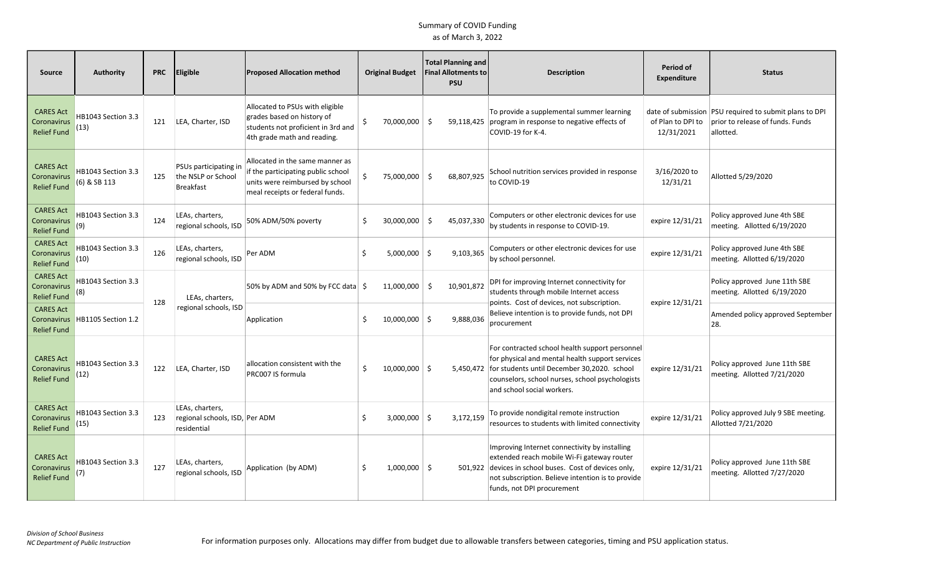| <b>Source</b>                                         | <b>Authority</b>                   | <b>PRC</b> | <b>Eligible</b>                                                  | <b>Proposed Allocation method</b>                                                                                                           |    | <b>Original Budget</b> | <b>Total Planning and</b><br><b>Final Allotments to</b><br><b>PSU</b> | <b>Description</b>                                                                                                                                                                                                                          | Period of<br><b>Expenditure</b> | <b>Status</b>                                                                                           |
|-------------------------------------------------------|------------------------------------|------------|------------------------------------------------------------------|---------------------------------------------------------------------------------------------------------------------------------------------|----|------------------------|-----------------------------------------------------------------------|---------------------------------------------------------------------------------------------------------------------------------------------------------------------------------------------------------------------------------------------|---------------------------------|---------------------------------------------------------------------------------------------------------|
| <b>CARES Act</b><br>Coronavirus<br><b>Relief Fund</b> | HB1043 Section 3.3<br>(13)         | 121        | LEA, Charter, ISD                                                | Allocated to PSUs with eligible<br>grades based on history of<br>students not proficient in 3rd and<br>4th grade math and reading.          | Ŝ. | 70,000,000             | Ŝ.<br>59,118,425                                                      | To provide a supplemental summer learning<br>program in response to negative effects of<br>COVID-19 for K-4.                                                                                                                                | of Plan to DPI to<br>12/31/2021 | date of submission PSU required to submit plans to DPI<br>prior to release of funds. Funds<br>allotted. |
| <b>CARES Act</b><br>Coronavirus<br><b>Relief Fund</b> | HB1043 Section 3.3<br>(6) & SB 113 | 125        | PSUs participating in<br>the NSLP or School<br><b>Breakfast</b>  | Allocated in the same manner as<br>if the participating public school<br>units were reimbursed by school<br>meal receipts or federal funds. |    | 75,000,000 \$          | 68,807,925                                                            | School nutrition services provided in response<br>to COVID-19                                                                                                                                                                               | 3/16/2020 to<br>12/31/21        | Allotted 5/29/2020                                                                                      |
| <b>CARES Act</b><br>Coronavirus<br>Relief Fund        | HB1043 Section 3.3<br>(9)          | 124        | LEAs, charters,<br>regional schools, ISD                         | 50% ADM/50% poverty                                                                                                                         | Ŝ. | 30,000,000             | 45,037,330<br>-Ś                                                      | Computers or other electronic devices for use<br>by students in response to COVID-19.                                                                                                                                                       | expire 12/31/21                 | Policy approved June 4th SBE<br>meeting. Allotted 6/19/2020                                             |
| <b>CARES Act</b><br>Coronavirus<br><b>Relief Fund</b> | HB1043 Section 3.3<br>(10)         | 126        | LEAs, charters,<br>regional schools, ISD                         | Per ADM                                                                                                                                     | Ŝ. | $5,000,000$ \$         | 9.103.365                                                             | Computers or other electronic devices for use<br>by school personnel.                                                                                                                                                                       | expire 12/31/21                 | Policy approved June 4th SBE<br>meeting. Allotted 6/19/2020                                             |
| <b>CARES Act</b><br>Coronavirus<br>Relief Fund        | HB1043 Section 3.3<br>(8)          | 128        | LEAs, charters,                                                  | 50% by ADM and 50% by FCC data $\frac{1}{2}$                                                                                                |    | 11,000,000             | -\$<br>10,901,872                                                     | DPI for improving Internet connectivity for<br>students through mobile Internet access<br>points. Cost of devices, not subscription.                                                                                                        | expire 12/31/21                 | Policy approved June 11th SBE<br>meeting. Allotted 6/19/2020                                            |
| <b>CARES Act</b><br>Coronavirus<br><b>Relief Fund</b> | HB1105 Section 1.2                 |            | regional schools, ISD                                            | Application                                                                                                                                 | -Ś | $10,000,000$ \$        | 9,888,036                                                             | Believe intention is to provide funds, not DPI<br>procurement                                                                                                                                                                               |                                 | Amended policy approved September<br>28.                                                                |
| <b>CARES Act</b><br>Coronavirus<br><b>Relief Fund</b> | HB1043 Section 3.3<br>(12)         | 122        | LEA, Charter, ISD                                                | allocation consistent with the<br>PRC007 IS formula                                                                                         | Ŝ. | $10,000,000$ \$        |                                                                       | For contracted school health support personnel<br>for physical and mental health support services<br>5,450,472 for students until December 30,2020. school<br>counselors, school nurses, school psychologists<br>and school social workers. | expire 12/31/21                 | Policy approved June 11th SBE<br>meeting. Allotted 7/21/2020                                            |
| <b>CARES Act</b><br>Coronavirus<br><b>Relief Fund</b> | HB1043 Section 3.3<br>(15)         | 123        | LEAs, charters,<br>regional schools, ISD, Per ADM<br>residential |                                                                                                                                             | Ŝ. | $3,000,000$ \$         | 3,172,159                                                             | To provide nondigital remote instruction<br>resources to students with limited connectivity                                                                                                                                                 | expire 12/31/21                 | Policy approved July 9 SBE meeting.<br>Allotted 7/21/2020                                               |
| <b>CARES Act</b><br>Coronavirus<br><b>Relief Fund</b> | HB1043 Section 3.3<br>(7)          | 127        | LEAs, charters,<br>regional schools, ISD                         | Application (by ADM)                                                                                                                        | Ŝ. | $1,000,000$ \$         |                                                                       | Improving Internet connectivity by installing<br>extended reach mobile Wi-Fi gateway router<br>501,922 devices in school buses. Cost of devices only,<br>not subscription. Believe intention is to provide<br>funds, not DPI procurement    | expire 12/31/21                 | Policy approved June 11th SBE<br>meeting. Allotted 7/27/2020                                            |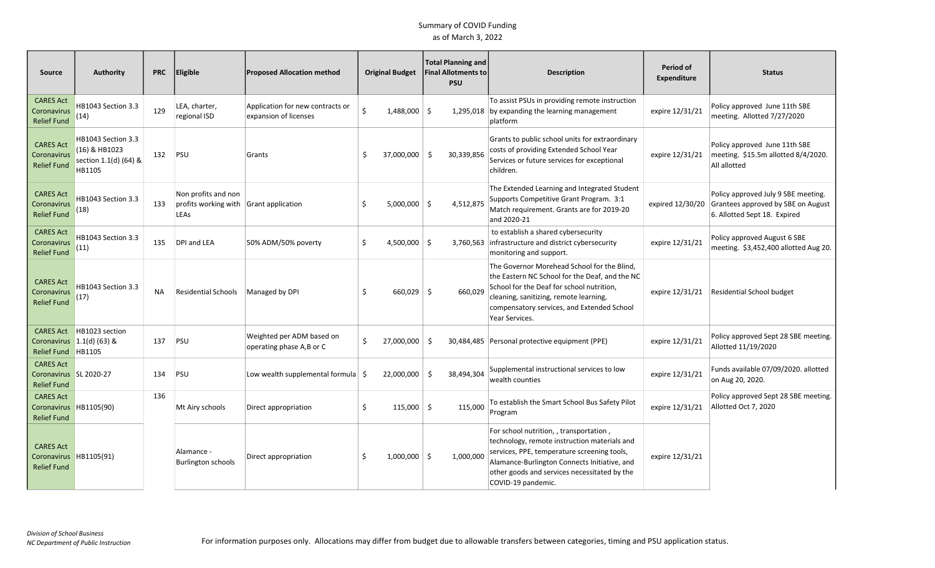| Source                                                             | <b>Authority</b>                                                       | <b>PRC</b> | <b>Eligible</b>                                                       | <b>Proposed Allocation method</b>                         |          | <b>Original Budget</b> | <b>Total Planning and</b><br><b>Final Allotments to</b><br><b>PSU</b> | <b>Description</b>                                                                                                                                                                                                                                           | Period of<br><b>Expenditure</b> | <b>Status</b>                                                                                                              |
|--------------------------------------------------------------------|------------------------------------------------------------------------|------------|-----------------------------------------------------------------------|-----------------------------------------------------------|----------|------------------------|-----------------------------------------------------------------------|--------------------------------------------------------------------------------------------------------------------------------------------------------------------------------------------------------------------------------------------------------------|---------------------------------|----------------------------------------------------------------------------------------------------------------------------|
| <b>CARES Act</b><br>Coronavirus<br><b>Relief Fund</b>              | HB1043 Section 3.3<br>(14)                                             | 129        | LEA, charter,<br>regional ISD                                         | Application for new contracts or<br>expansion of licenses | Ś.       | 1,488,000 \$           | 1,295,018                                                             | To assist PSUs in providing remote instruction<br>by expanding the learning management<br>platform                                                                                                                                                           | expire 12/31/21                 | Policy approved June 11th SBE<br>meeting. Allotted 7/27/2020                                                               |
| <b>CARES Act</b><br>Coronavirus<br><b>Relief Fund</b>              | HB1043 Section 3.3<br>(16) & HB1023<br>section 1.1(d) (64) &<br>HB1105 | 132        | PSU                                                                   | Grants                                                    | -Ś       | 37,000,000 \$          | 30,339,856                                                            | Grants to public school units for extraordinary<br>costs of providing Extended School Year<br>Services or future services for exceptional<br>children.                                                                                                       | expire 12/31/21                 | Policy approved June 11th SBE<br>meeting. \$15.5m allotted 8/4/2020.<br>All allotted                                       |
| <b>CARES Act</b><br>Coronavirus<br><b>Relief Fund</b>              | HB1043 Section 3.3<br>(18)                                             | 133        | Non profits and non<br>profits working with Grant application<br>LEAs |                                                           |          | $5,000,000$ \$         | 4,512,875                                                             | The Extended Learning and Integrated Student<br>Supports Competitive Grant Program. 3:1<br>Match requirement. Grants are for 2019-20<br>and 2020-21                                                                                                          |                                 | Policy approved July 9 SBE meeting.<br>expired 12/30/20 Grantees approved by SBE on August<br>6. Allotted Sept 18. Expired |
| <b>CARES Act</b><br>Coronavirus<br><b>Relief Fund</b>              | HB1043 Section 3.3<br>(11)                                             | 135        | DPI and LEA                                                           | 50% ADM/50% poverty                                       | Ŝ        | $4,500,000$ \$         |                                                                       | to establish a shared cybersecurity<br>3,760,563 infrastructure and district cybersecurity<br>monitoring and support.                                                                                                                                        | expire 12/31/21                 | Policy approved August 6 SBE<br>meeting. \$3,452,400 allotted Aug 20.                                                      |
| <b>CARES Act</b><br>Coronavirus<br><b>Relief Fund</b>              | HB1043 Section 3.3<br>(17)                                             | <b>NA</b>  | Residential Schools                                                   | Managed by DPI                                            | .S       | $660,029$ \$           | 660.029                                                               | The Governor Morehead School for the Blind,<br>the Eastern NC School for the Deaf, and the NC<br>School for the Deaf for school nutrition,<br>cleaning, sanitizing, remote learning,<br>compensatory services, and Extended School<br>Year Services.         | expire 12/31/21                 | Residential School budget                                                                                                  |
| <b>CARES Act</b><br>Coronavirus<br><b>Relief Fund</b>              | HB1023 section<br>$1.1(d)$ (63) &<br>HB1105                            | 137        | PSU                                                                   | Weighted per ADM based on<br>operating phase A,B or C     | Ŝ.       | 27,000,000             | -Ś                                                                    | 30,484,485 Personal protective equipment (PPE)                                                                                                                                                                                                               | expire 12/31/21                 | Policy approved Sept 28 SBE meeting.<br>Allotted 11/19/2020                                                                |
| <b>CARES Act</b><br>Coronavirus   SL 2020-27<br><b>Relief Fund</b> |                                                                        | 134        | PSU                                                                   | Low wealth supplemental formula $\frac{1}{2}$             |          | 22,000,000             | -\$<br>38,494,304                                                     | Supplemental instructional services to low<br>wealth counties                                                                                                                                                                                                | expire 12/31/21                 | Funds available 07/09/2020. allotted<br>on Aug 20, 2020.                                                                   |
| <b>CARES Act</b><br>Coronavirus<br><b>Relief Fund</b>              | HB1105(90)                                                             | 136        | Mt Airy schools                                                       | Direct appropriation                                      | Ŝ.       | $115,000$ \$           | 115,000                                                               | To establish the Smart School Bus Safety Pilot<br>Program                                                                                                                                                                                                    | expire 12/31/21                 | Policy approved Sept 28 SBE meeting.<br>Allotted Oct 7, 2020                                                               |
| <b>CARES Act</b><br>Coronavirus<br><b>Relief Fund</b>              | HB1105(91)                                                             |            | Alamance -<br><b>Burlington schools</b>                               | Direct appropriation                                      | <b>S</b> | $1,000,000$ \$         | 1,000,000                                                             | For school nutrition, , transportation,<br>technology, remote instruction materials and<br>services, PPE, temperature screening tools,<br>Alamance-Burlington Connects Initiative, and<br>other goods and services necessitated by the<br>COVID-19 pandemic. | expire 12/31/21                 |                                                                                                                            |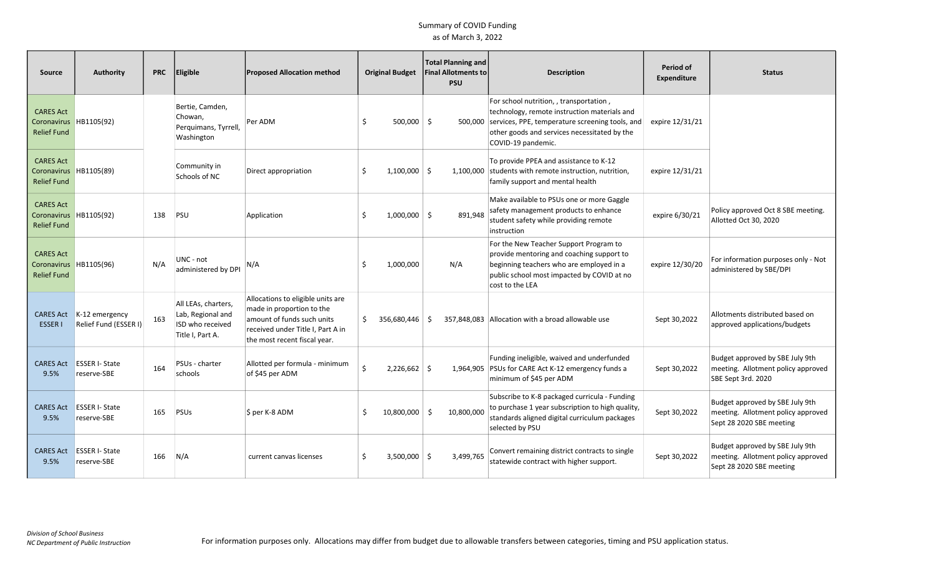| <b>Source</b>                                                    | Authority                                 | <b>PRC</b> | Eligible                                                                         | <b>Proposed Allocation method</b>                                                                                                                                 |    | <b>Original Budget</b> |      | Total Planning and<br><b>Final Allotments to</b><br><b>PSU</b> | <b>Description</b>                                                                                                                                                                                                       | Period of<br><b>Expenditure</b> | <b>Status</b>                                                                                     |
|------------------------------------------------------------------|-------------------------------------------|------------|----------------------------------------------------------------------------------|-------------------------------------------------------------------------------------------------------------------------------------------------------------------|----|------------------------|------|----------------------------------------------------------------|--------------------------------------------------------------------------------------------------------------------------------------------------------------------------------------------------------------------------|---------------------------------|---------------------------------------------------------------------------------------------------|
| <b>CARES Act</b><br>Coronavirus HB1105(92)<br><b>Relief Fund</b> |                                           |            | Bertie, Camden,<br>Chowan,<br>Perquimans, Tyrrell,<br>Washington                 | Per ADM                                                                                                                                                           | Ŝ. | $500,000$ \$           |      |                                                                | For school nutrition, , transportation,<br>technology, remote instruction materials and<br>500,000 services, PPE, temperature screening tools, and<br>other goods and services necessitated by the<br>COVID-19 pandemic. | expire 12/31/21                 |                                                                                                   |
| <b>CARES Act</b><br>Coronavirus<br><b>Relief Fund</b>            | HB1105(89)                                |            | Community in<br>Schools of NC                                                    | Direct appropriation                                                                                                                                              | Ŝ  | $1,100,000$ \$         |      |                                                                | To provide PPEA and assistance to K-12<br>1,100,000 students with remote instruction, nutrition,<br>family support and mental health                                                                                     | expire 12/31/21                 |                                                                                                   |
| <b>CARES Act</b><br>Coronavirus HB1105(92)<br><b>Relief Fund</b> |                                           | 138        | PSU                                                                              | Application                                                                                                                                                       | S  | $1,000,000$ \$         |      | 891.948                                                        | Make available to PSUs one or more Gaggle<br>safety management products to enhance<br>student safety while providing remote<br>instruction                                                                               | expire 6/30/21                  | Policy approved Oct 8 SBE meeting.<br>Allotted Oct 30, 2020                                       |
| <b>CARES Act</b><br>Coronavirus HB1105(96)<br><b>Relief Fund</b> |                                           | N/A        | UNC - not<br>administered by DPI                                                 | N/A                                                                                                                                                               | Ś. | 1.000.000              |      | N/A                                                            | For the New Teacher Support Program to<br>provide mentoring and coaching support to<br>beginning teachers who are employed in a<br>public school most impacted by COVID at no<br>cost to the LEA                         | expire 12/30/20                 | For information purposes only - Not<br>administered by SBE/DPI                                    |
| <b>CARES Act</b><br><b>ESSER1</b>                                | $K-12$ emergency<br>Relief Fund (ESSER I) | 163        | All LEAs, charters,<br>Lab, Regional and<br>ISD who received<br>Title I, Part A. | Allocations to eligible units are<br>made in proportion to the<br>amount of funds such units<br>received under Title I, Part A in<br>the most recent fiscal year. | S. | 356,680,446            | - \$ |                                                                | 357,848,083 Allocation with a broad allowable use                                                                                                                                                                        | Sept 30,2022                    | Allotments distributed based on<br>approved applications/budgets                                  |
| <b>CARES Act</b><br>9.5%                                         | <b>ESSER I- State</b><br>reserve-SBE      | 164        | PSUs - charter<br>schools                                                        | Allotted per formula - minimum<br>of \$45 per ADM                                                                                                                 | Ś. | $2,226,662$ \$         |      |                                                                | Funding ineligible, waived and underfunded<br>1,964,905 PSUs for CARE Act K-12 emergency funds a<br>minimum of \$45 per ADM                                                                                              | Sept 30,2022                    | Budget approved by SBE July 9th<br>meeting. Allotment policy approved<br>SBE Sept 3rd. 2020       |
| <b>CARES Act</b><br>9.5%                                         | <b>ESSER I- State</b><br>reserve-SBE      | 165        | PSUs                                                                             | $$$ per K-8 ADM                                                                                                                                                   | Ŝ. | 10.800.000             | -Ś   | 10.800.000                                                     | Subscribe to K-8 packaged curricula - Funding<br>to purchase 1 year subscription to high quality,<br>standards aligned digital curriculum packages<br>selected by PSU                                                    | Sept 30,2022                    | Budget approved by SBE July 9th<br>meeting. Allotment policy approved<br>Sept 28 2020 SBE meeting |
| <b>CARES Act</b><br>9.5%                                         | <b>ESSER I-State</b><br>reserve-SBE       | 166        | N/A                                                                              | current canvas licenses                                                                                                                                           |    | $3,500,000$ \$         |      | 3,499,765                                                      | Convert remaining district contracts to single<br>statewide contract with higher support.                                                                                                                                | Sept 30,2022                    | Budget approved by SBE July 9th<br>meeting. Allotment policy approved<br>Sept 28 2020 SBE meeting |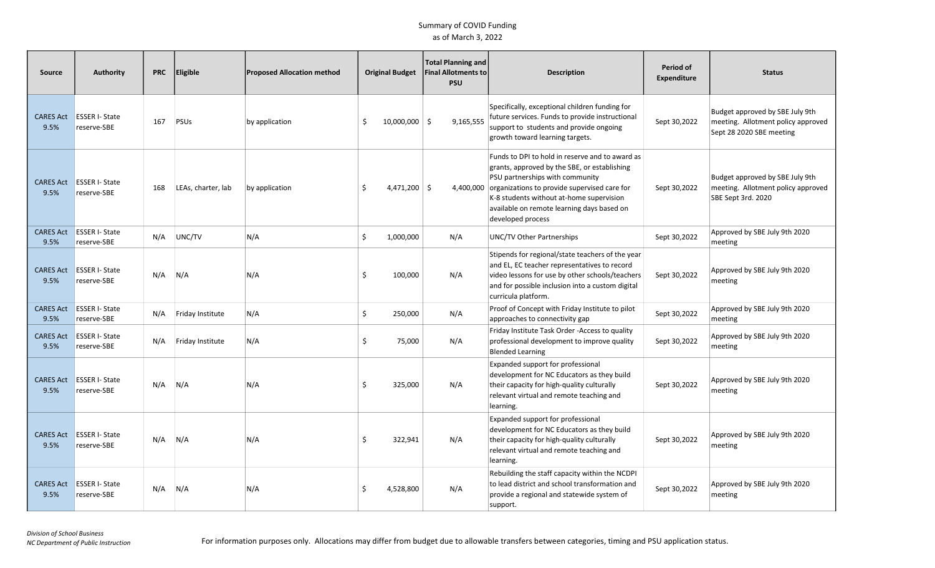| <b>Source</b>            | <b>Authority</b>                     | <b>PRC</b> | Eligible           | <b>Proposed Allocation method</b> |    | <b>Original Budget</b> | <b>Total Planning and</b><br><b>Final Allotments to</b><br><b>PSU</b> | <b>Description</b>                                                                                                                                                                                                                                                                                | Period of<br><b>Expenditure</b> | <b>Status</b>                                                                                     |
|--------------------------|--------------------------------------|------------|--------------------|-----------------------------------|----|------------------------|-----------------------------------------------------------------------|---------------------------------------------------------------------------------------------------------------------------------------------------------------------------------------------------------------------------------------------------------------------------------------------------|---------------------------------|---------------------------------------------------------------------------------------------------|
| <b>CARES Act</b><br>9.5% | <b>ESSER I- State</b><br>reserve-SBE | 167        | PSUs               | by application                    | \$ | $10,000,000$ \$        | 9,165,555                                                             | Specifically, exceptional children funding for<br>future services. Funds to provide instructional<br>support to students and provide ongoing<br>growth toward learning targets.                                                                                                                   | Sept 30,2022                    | Budget approved by SBE July 9th<br>meeting. Allotment policy approved<br>Sept 28 2020 SBE meeting |
| <b>CARES Act</b><br>9.5% | <b>ESSER I- State</b><br>reserve-SBE | 168        | LEAs, charter, lab | by application                    | Ŝ. | $4,471,200$ \$         | 4,400,000                                                             | Funds to DPI to hold in reserve and to award as<br>grants, approved by the SBE, or establishing<br>PSU partnerships with community<br>organizations to provide supervised care for<br>K-8 students without at-home supervision<br>available on remote learning days based on<br>developed process | Sept 30,2022                    | Budget approved by SBE July 9th<br>meeting. Allotment policy approved<br>SBE Sept 3rd. 2020       |
| <b>CARES Act</b><br>9.5% | <b>ESSER I-State</b><br>reserve-SBE  | N/A        | UNC/TV             | N/A                               | \$ | 1,000,000              | N/A                                                                   | UNC/TV Other Partnerships                                                                                                                                                                                                                                                                         | Sept 30,2022                    | Approved by SBE July 9th 2020<br>meeting                                                          |
| <b>CARES Act</b><br>9.5% | <b>ESSER I-State</b><br>reserve-SBE  | N/A        | N/A                | N/A                               | \$ | 100,000                | N/A                                                                   | Stipends for regional/state teachers of the year<br>and EL, EC teacher representatives to record<br>video lessons for use by other schools/teachers<br>and for possible inclusion into a custom digital<br>curricula platform.                                                                    | Sept 30,2022                    | Approved by SBE July 9th 2020<br>meeting                                                          |
| <b>CARES Act</b><br>9.5% | <b>ESSER I-State</b><br>reserve-SBE  | N/A        | Friday Institute   | N/A                               | \$ | 250,000                | N/A                                                                   | Proof of Concept with Friday Institute to pilot<br>approaches to connectivity gap                                                                                                                                                                                                                 | Sept 30,2022                    | Approved by SBE July 9th 2020<br>meeting                                                          |
| <b>CARES Act</b><br>9.5% | <b>ESSER I- State</b><br>reserve-SBE | N/A        | Friday Institute   | N/A                               | \$ | 75,000                 | N/A                                                                   | Friday Institute Task Order - Access to quality<br>professional development to improve quality<br><b>Blended Learning</b>                                                                                                                                                                         | Sept 30,2022                    | Approved by SBE July 9th 2020<br>meeting                                                          |
| <b>CARES Act</b><br>9.5% | <b>ESSER I-State</b><br>reserve-SBE  | N/A        | N/A                | N/A                               | Ś. | 325,000                | N/A                                                                   | Expanded support for professional<br>development for NC Educators as they build<br>their capacity for high-quality culturally<br>relevant virtual and remote teaching and<br>learning.                                                                                                            | Sept 30,2022                    | Approved by SBE July 9th 2020<br>meeting                                                          |
| <b>CARES Act</b><br>9.5% | <b>ESSER I- State</b><br>reserve-SBE | N/A        | N/A                | N/A                               | Ś  | 322,941                | N/A                                                                   | Expanded support for professional<br>development for NC Educators as they build<br>their capacity for high-quality culturally<br>relevant virtual and remote teaching and<br>learning.                                                                                                            | Sept 30,2022                    | Approved by SBE July 9th 2020<br>meeting                                                          |
| <b>CARES Act</b><br>9.5% | <b>ESSER I- State</b><br>reserve-SBE | N/A        | N/A                | N/A                               | Ś  | 4,528,800              | N/A                                                                   | Rebuilding the staff capacity within the NCDPI<br>to lead district and school transformation and<br>provide a regional and statewide system of<br>support.                                                                                                                                        | Sept 30,2022                    | Approved by SBE July 9th 2020<br>meeting                                                          |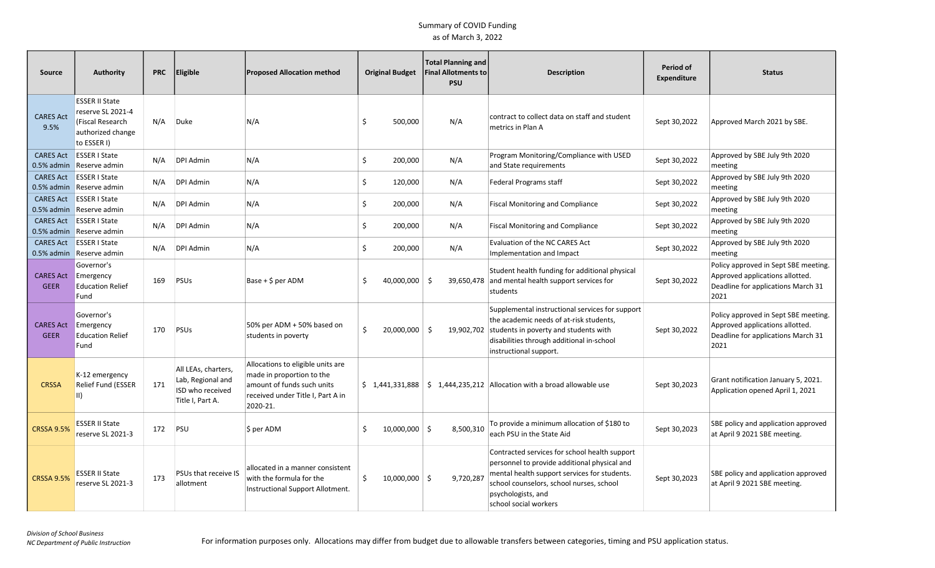| Source                           | Authority                                                                                          | <b>PRC</b> | <b>Eligible</b>                                                                  | <b>Proposed Allocation method</b>                                                                                                             |    | <b>Original Budget</b> | <b>Total Planning and</b><br><b>Final Allotments to</b><br><b>PSU</b> | <b>Description</b>                                                                                                                                                                                                                       | Period of<br><b>Expenditure</b> | <b>Status</b>                                                                                                         |
|----------------------------------|----------------------------------------------------------------------------------------------------|------------|----------------------------------------------------------------------------------|-----------------------------------------------------------------------------------------------------------------------------------------------|----|------------------------|-----------------------------------------------------------------------|------------------------------------------------------------------------------------------------------------------------------------------------------------------------------------------------------------------------------------------|---------------------------------|-----------------------------------------------------------------------------------------------------------------------|
| <b>CARES Act</b><br>9.5%         | <b>ESSER II State</b><br>reserve SL 2021-4<br>(Fiscal Research<br>authorized change<br>to ESSER I) | N/A        | Duke                                                                             | N/A                                                                                                                                           | Ŝ  | 500,000                | N/A                                                                   | contract to collect data on staff and student<br>metrics in Plan A                                                                                                                                                                       | Sept 30,2022                    | Approved March 2021 by SBE.                                                                                           |
| <b>CARES Act</b>                 | <b>ESSER I State</b><br>0.5% admin Reserve admin                                                   | N/A        | <b>DPI Admin</b>                                                                 | N/A                                                                                                                                           | \$ | 200,000                | N/A                                                                   | Program Monitoring/Compliance with USED<br>and State requirements                                                                                                                                                                        | Sept 30,2022                    | Approved by SBE July 9th 2020<br>meeting                                                                              |
| <b>CARES Act</b><br>$0.5%$ admin | <b>ESSER I State</b><br>Reserve admin                                                              | N/A        | DPI Admin                                                                        | N/A                                                                                                                                           | \$ | 120,000                | N/A                                                                   | Federal Programs staff                                                                                                                                                                                                                   | Sept 30,2022                    | Approved by SBE July 9th 2020<br>meeting                                                                              |
| <b>CARES Act</b>                 | <b>ESSER I State</b><br>0.5% admin Reserve admin                                                   | N/A        | DPI Admin                                                                        | N/A                                                                                                                                           | \$ | 200,000                | N/A                                                                   | <b>Fiscal Monitoring and Compliance</b>                                                                                                                                                                                                  | Sept 30,2022                    | Approved by SBE July 9th 2020<br>meeting                                                                              |
| <b>CARES Act</b>                 | <b>ESSER I State</b><br>0.5% admin Reserve admin                                                   | N/A        | DPI Admin                                                                        | N/A                                                                                                                                           | \$ | 200,000                | N/A                                                                   | <b>Fiscal Monitoring and Compliance</b>                                                                                                                                                                                                  | Sept 30,2022                    | Approved by SBE July 9th 2020<br>meeting                                                                              |
| <b>CARES Act</b>                 | <b>ESSER I State</b><br>0.5% admin Reserve admin                                                   | N/A        | DPI Admin                                                                        | N/A                                                                                                                                           | \$ | 200,000                | N/A                                                                   | Evaluation of the NC CARES Act<br>Implementation and Impact                                                                                                                                                                              | Sept 30,2022                    | Approved by SBE July 9th 2020<br>meeting                                                                              |
| <b>CARES Act</b><br><b>GEER</b>  | Governor's<br>Emergency<br><b>Education Relief</b><br>Fund                                         | 169        | PSUs                                                                             | $Base + $ per ADM$                                                                                                                            | Ŝ. | 40,000,000             | - \$<br>39,650,478                                                    | Student health funding for additional physical<br>and mental health support services for<br>students                                                                                                                                     | Sept 30,2022                    | Policy approved in Sept SBE meeting.<br>Approved applications allotted.<br>Deadline for applications March 31<br>2021 |
| <b>CARES Act</b><br><b>GEER</b>  | Governor's<br>Emergency<br><b>Education Relief</b><br>Fund                                         | 170        | PSUs                                                                             | 50% per ADM + 50% based on<br>students in poverty                                                                                             | Ŝ. | $20,000,000$ \$        | 19,902,702                                                            | Supplemental instructional services for support<br>the academic needs of at-risk students,<br>students in poverty and students with<br>disabilities through additional in-school<br>instructional support.                               | Sept 30,2022                    | Policy approved in Sept SBE meeting.<br>Approved applications allotted.<br>Deadline for applications March 31<br>2021 |
| <b>CRSSA</b>                     | K-12 emergency<br>Relief Fund (ESSER<br>II)                                                        | 171        | All LEAs, charters,<br>Lab, Regional and<br>ISD who received<br>Title I, Part A. | Allocations to eligible units are<br>made in proportion to the<br>amount of funds such units<br>received under Title I, Part A in<br>2020-21. |    |                        |                                                                       | $\binom{2}{3}$ 1,441,331,888 $\binom{2}{3}$ 1,444,235,212 Allocation with a broad allowable use                                                                                                                                          | Sept 30,2023                    | Grant notification January 5, 2021.<br>Application opened April 1, 2021                                               |
| <b>CRSSA 9.5%</b>                | <b>ESSER II State</b><br>reserve SL 2021-3                                                         | 172        | PSU                                                                              | \$ per ADM                                                                                                                                    | \$ | $10,000,000$ \$        | 8,500,310                                                             | To provide a minimum allocation of \$180 to<br>each PSU in the State Aid                                                                                                                                                                 | Sept 30,2023                    | SBE policy and application approved<br>at April 9 2021 SBE meeting.                                                   |
| <b>CRSSA 9.5%</b>                | <b>ESSER II State</b><br>reserve SL 2021-3                                                         | 173        | PSUs that receive IS<br>allotment                                                | allocated in a manner consistent<br>with the formula for the<br>Instructional Support Allotment.                                              | \$ | $10,000,000$ \$        | 9,720,287                                                             | Contracted services for school health support<br>personnel to provide additional physical and<br>mental health support services for students.<br>school counselors, school nurses, school<br>psychologists, and<br>school social workers | Sept 30,2023                    | SBE policy and application approved<br>at April 9 2021 SBE meeting.                                                   |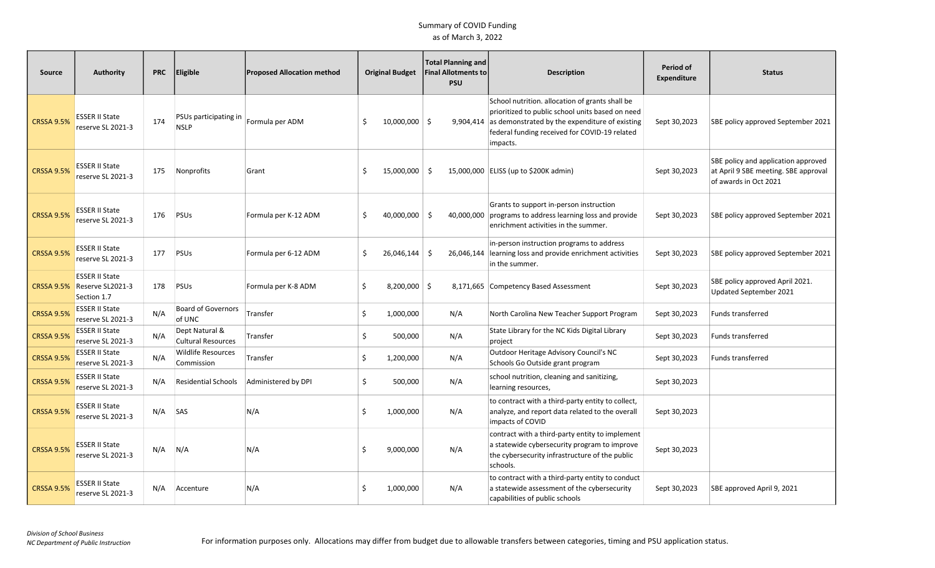| <b>Source</b>     | <b>Authority</b>                                         | <b>PRC</b> | <b>Eligible</b>                             | <b>Proposed Allocation method</b> |    | <b>Original Budget</b> | <b>Total Planning and</b><br><b>Final Allotments to</b><br><b>PSU</b> | <b>Description</b>                                                                                                                                                                                                 | Period of<br><b>Expenditure</b> | <b>Status</b>                                                                                        |
|-------------------|----------------------------------------------------------|------------|---------------------------------------------|-----------------------------------|----|------------------------|-----------------------------------------------------------------------|--------------------------------------------------------------------------------------------------------------------------------------------------------------------------------------------------------------------|---------------------------------|------------------------------------------------------------------------------------------------------|
| <b>CRSSA 9.5%</b> | <b>ESSER II State</b><br>reserve SL 2021-3               | 174        | PSUs participating in<br><b>NSLP</b>        | Formula per ADM                   | -Ś | $10,000,000$ \$        | 9,904,414                                                             | School nutrition. allocation of grants shall be<br>prioritized to public school units based on need<br>as demonstrated by the expenditure of existing<br>federal funding received for COVID-19 related<br>impacts. | Sept 30,2023                    | SBE policy approved September 2021                                                                   |
| CRSSA 9.5%        | <b>ESSER II State</b><br>reserve SL 2021-3               | 175        | Nonprofits                                  | Grant                             | .s | 15,000,000 \$          |                                                                       | 15,000,000 ELISS (up to \$200K admin)                                                                                                                                                                              | Sept 30,2023                    | SBE policy and application approved<br>at April 9 SBE meeting. SBE approval<br>of awards in Oct 2021 |
| <b>CRSSA 9.5%</b> | <b>ESSER II State</b><br>reserve SL 2021-3               | 176        | PSUS                                        | Formula per K-12 ADM              | Ŝ. | $40,000,000$ \$        | 40,000,000                                                            | Grants to support in-person instruction<br>programs to address learning loss and provide<br>enrichment activities in the summer.                                                                                   | Sept 30,2023                    | SBE policy approved September 2021                                                                   |
| <b>CRSSA 9.5%</b> | <b>ESSER II State</b><br>reserve SL 2021-3               | 177        | PSUs                                        | Formula per 6-12 ADM              | \$ | 26,046,144             | -Ś<br>26,046,144                                                      | in-person instruction programs to address<br>learning loss and provide enrichment activities<br>in the summer.                                                                                                     | Sept 30,2023                    | SBE policy approved September 2021                                                                   |
| <b>CRSSA 9.5%</b> | <b>ESSER II State</b><br>Reserve SL2021-3<br>Section 1.7 | 178        | PSUS                                        | Formula per K-8 ADM               | Ŝ. | $8,200,000$ \$         |                                                                       | 8,171,665 Competency Based Assessment                                                                                                                                                                              | Sept 30,2023                    | SBE policy approved April 2021.<br>Updated September 2021                                            |
| <b>CRSSA 9.5%</b> | <b>ESSER II State</b><br>reserve SL 2021-3               | N/A        | <b>Board of Governors</b><br>of UNC         | Transfer                          | \$ | 1,000,000              | N/A                                                                   | North Carolina New Teacher Support Program                                                                                                                                                                         | Sept 30,2023                    | Funds transferred                                                                                    |
| <b>CRSSA 9.5%</b> | <b>ESSER II State</b><br>reserve SL 2021-3               | N/A        | Dept Natural &<br><b>Cultural Resources</b> | Transfer                          | \$ | 500,000                | N/A                                                                   | State Library for the NC Kids Digital Library<br>project                                                                                                                                                           | Sept 30,2023                    | <b>Funds transferred</b>                                                                             |
| <b>CRSSA 9.5%</b> | <b>ESSER II State</b><br>reserve SL 2021-3               | N/A        | <b>Wildlife Resources</b><br>Commission     | Transfer                          | \$ | 1,200,000              | N/A                                                                   | Outdoor Heritage Advisory Council's NC<br>Schools Go Outside grant program                                                                                                                                         | Sept 30,2023                    | <b>Funds transferred</b>                                                                             |
| <b>CRSSA 9.5%</b> | <b>ESSER II State</b><br>reserve SL 2021-3               | N/A        | <b>Residential Schools</b>                  | Administered by DPI               | \$ | 500,000                | N/A                                                                   | school nutrition, cleaning and sanitizing,<br>learning resources,                                                                                                                                                  | Sept 30,2023                    |                                                                                                      |
| <b>CRSSA 9.5%</b> | <b>ESSER II State</b><br>reserve SL 2021-3               | N/A        | SAS                                         | N/A                               | \$ | 1,000,000              | N/A                                                                   | to contract with a third-party entity to collect,<br>analyze, and report data related to the overall<br>impacts of COVID                                                                                           | Sept 30,2023                    |                                                                                                      |
| <b>CRSSA 9.5%</b> | <b>ESSER II State</b><br>reserve SL 2021-3               | N/A        | N/A                                         | N/A                               | -Ś | 9,000,000              | N/A                                                                   | contract with a third-party entity to implement<br>a statewide cybersecurity program to improve<br>the cybersecurity infrastructure of the public<br>schools.                                                      | Sept 30,2023                    |                                                                                                      |
| <b>CRSSA 9.5%</b> | <b>ESSER II State</b><br>reserve SL 2021-3               | N/A        | Accenture                                   | N/A                               | -Ś | 1,000,000              | N/A                                                                   | to contract with a third-party entity to conduct<br>a statewide assessment of the cybersecurity<br>capabilities of public schools                                                                                  | Sept 30,2023                    | SBE approved April 9, 2021                                                                           |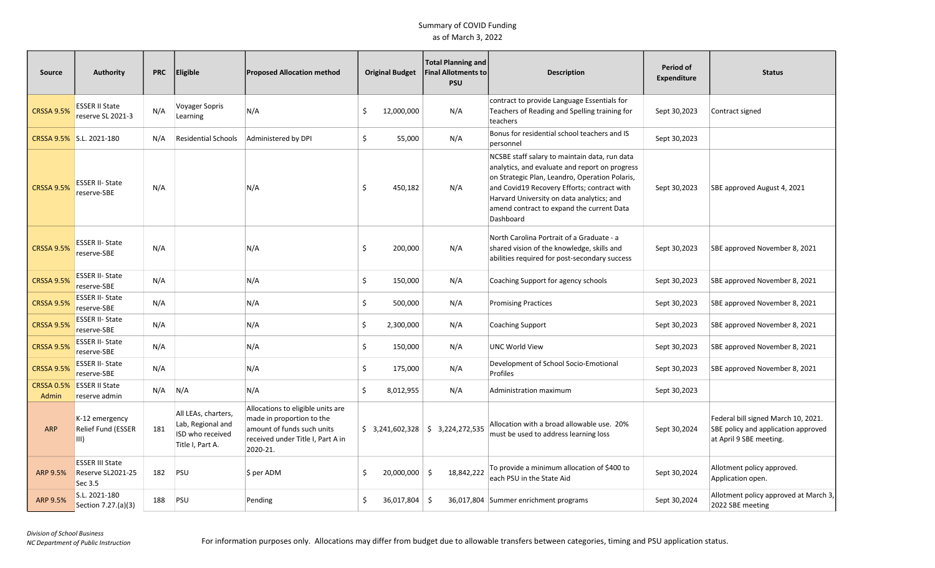| Source                     | <b>Authority</b>                                       | <b>PRC</b> | Eligible                                                                         | <b>Proposed Allocation method</b>                                                                                                             |    | <b>Original Budget</b> | <b>Total Planning and</b><br><b>Final Allotments to</b><br><b>PSU</b> | <b>Description</b>                                                                                                                                                                                                                                                                                      | Period of<br><b>Expenditure</b> | <b>Status</b>                                                                                         |
|----------------------------|--------------------------------------------------------|------------|----------------------------------------------------------------------------------|-----------------------------------------------------------------------------------------------------------------------------------------------|----|------------------------|-----------------------------------------------------------------------|---------------------------------------------------------------------------------------------------------------------------------------------------------------------------------------------------------------------------------------------------------------------------------------------------------|---------------------------------|-------------------------------------------------------------------------------------------------------|
| <b>CRSSA 9.5%</b>          | <b>ESSER II State</b><br>reserve SL 2021-3             | N/A        | Voyager Sopris<br>Learning                                                       | N/A                                                                                                                                           | .s | 12,000,000             | N/A                                                                   | contract to provide Language Essentials for<br>Teachers of Reading and Spelling training for<br>teachers                                                                                                                                                                                                | Sept 30,2023                    | Contract signed                                                                                       |
|                            | CRSSA 9.5% S.L. 2021-180                               | N/A        | <b>Residential Schools</b>                                                       | Administered by DPI                                                                                                                           | \$ | 55,000                 | N/A                                                                   | Bonus for residential school teachers and IS<br>personnel                                                                                                                                                                                                                                               | Sept 30,2023                    |                                                                                                       |
| <b>CRSSA 9.5%</b>          | <b>ESSER II-State</b><br>reserve-SBE                   | N/A        |                                                                                  | N/A                                                                                                                                           | \$ | 450,182                | N/A                                                                   | NCSBE staff salary to maintain data, run data<br>analytics, and evaluate and report on progress<br>on Strategic Plan, Leandro, Operation Polaris,<br>and Covid19 Recovery Efforts; contract with<br>Harvard University on data analytics; and<br>amend contract to expand the current Data<br>Dashboard | Sept 30,2023                    | SBE approved August 4, 2021                                                                           |
| <b>CRSSA 9.5%</b>          | <b>ESSER II-State</b><br>reserve-SBE                   | N/A        |                                                                                  | N/A                                                                                                                                           | \$ | 200,000                | N/A                                                                   | North Carolina Portrait of a Graduate - a<br>shared vision of the knowledge, skills and<br>abilities required for post-secondary success                                                                                                                                                                | Sept 30,2023                    | SBE approved November 8, 2021                                                                         |
| <b>CRSSA 9.5%</b>          | <b>ESSER II-State</b><br>reserve-SBE                   | N/A        |                                                                                  | N/A                                                                                                                                           | \$ | 150,000                | N/A                                                                   | Coaching Support for agency schools                                                                                                                                                                                                                                                                     | Sept 30,2023                    | SBE approved November 8, 2021                                                                         |
| <b>CRSSA 9.5%</b>          | <b>ESSER II-State</b><br>reserve-SBE                   | N/A        |                                                                                  | N/A                                                                                                                                           | \$ | 500,000                | N/A                                                                   | <b>Promising Practices</b>                                                                                                                                                                                                                                                                              | Sept 30,2023                    | SBE approved November 8, 2021                                                                         |
| <b>CRSSA 9.5%</b>          | <b>ESSER II-State</b><br>reserve-SBE                   | N/A        |                                                                                  | N/A                                                                                                                                           | \$ | 2,300,000              | N/A                                                                   | <b>Coaching Support</b>                                                                                                                                                                                                                                                                                 | Sept 30,2023                    | SBE approved November 8, 2021                                                                         |
| <b>CRSSA 9.5%</b>          | <b>ESSER II-State</b><br>reserve-SBE                   | N/A        |                                                                                  | N/A                                                                                                                                           | \$ | 150,000                | N/A                                                                   | <b>UNC World View</b>                                                                                                                                                                                                                                                                                   | Sept 30,2023                    | SBE approved November 8, 2021                                                                         |
| <b>CRSSA 9.5%</b>          | <b>ESSER II- State</b><br>reserve-SBE                  | N/A        |                                                                                  | N/A                                                                                                                                           | \$ | 175,000                | N/A                                                                   | Development of School Socio-Emotional<br>Profiles                                                                                                                                                                                                                                                       | Sept 30,2023                    | SBE approved November 8, 2021                                                                         |
| <b>CRSSA 0.5%</b><br>Admin | <b>ESSER II State</b><br>reserve admin                 | N/A        | N/A                                                                              | N/A                                                                                                                                           | Ŝ. | 8,012,955              | N/A                                                                   | Administration maximum                                                                                                                                                                                                                                                                                  | Sept 30,2023                    |                                                                                                       |
| <b>ARP</b>                 | K-12 emergency<br>Relief Fund (ESSER<br>III)           | 181        | All LEAs, charters,<br>Lab, Regional and<br>ISD who received<br>Title I, Part A. | Allocations to eligible units are<br>made in proportion to the<br>amount of funds such units<br>received under Title I, Part A in<br>2020-21. |    |                        | $$3,241,602,328 \mid $3,224,272,535$                                  | Allocation with a broad allowable use. 20%<br>must be used to address learning loss                                                                                                                                                                                                                     | Sept 30,2024                    | Federal bill signed March 10, 2021.<br>SBE policy and application approved<br>at April 9 SBE meeting. |
| ARP 9.5%                   | <b>ESSER III State</b><br>Reserve SL2021-25<br>Sec 3.5 | 182        | PSU                                                                              | \$ per ADM                                                                                                                                    | Ŝ. | 20,000,000 \$          | 18,842,222                                                            | To provide a minimum allocation of \$400 to<br>each PSU in the State Aid                                                                                                                                                                                                                                | Sept 30,2024                    | Allotment policy approved.<br>Application open.                                                       |
| <b>ARP 9.5%</b>            | S.L. 2021-180<br>Section 7.27.(a)(3)                   | 188        | PSU                                                                              | Pending                                                                                                                                       | \$ | $36,017,804$ \$        |                                                                       | 36,017,804 Summer enrichment programs                                                                                                                                                                                                                                                                   | Sept 30,2024                    | Allotment policy approved at March 3,<br>2022 SBE meeting                                             |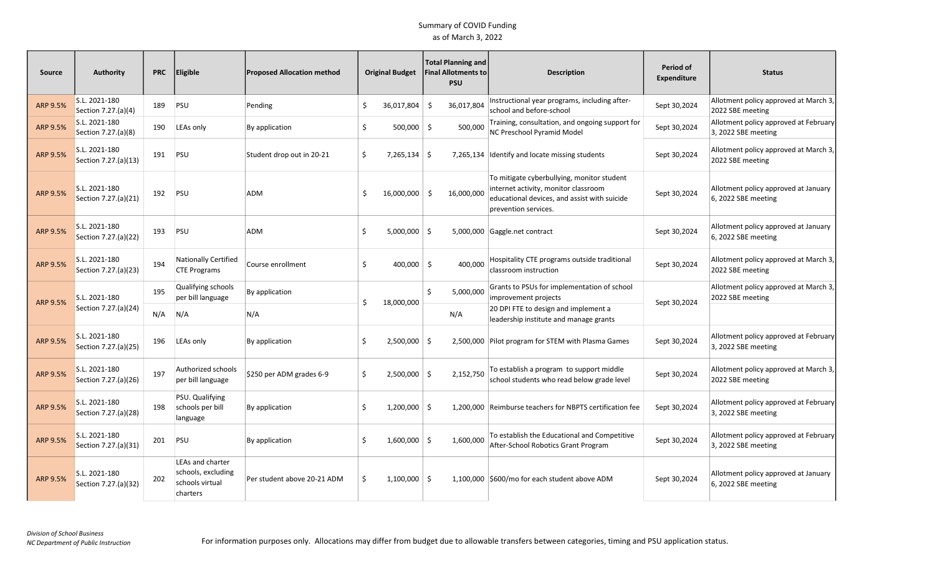| <b>Source</b>   | Authority                             | <b>PRC</b> | Eligible                                                              | <b>Proposed Allocation method</b> | <b>Original Budget</b> |                 | Total Planning and<br><b>Final Allotments to</b><br><b>PSU</b> | <b>Description</b>                                                                                                                                         | Period of<br><b>Expenditure</b> | <b>Status</b>                                                |
|-----------------|---------------------------------------|------------|-----------------------------------------------------------------------|-----------------------------------|------------------------|-----------------|----------------------------------------------------------------|------------------------------------------------------------------------------------------------------------------------------------------------------------|---------------------------------|--------------------------------------------------------------|
| ARP 9.5%        | S.L. 2021-180<br>Section 7.27.(a)(4)  | 189        | PSU                                                                   | Pending                           | Ś.                     | $36,017,804$ \$ | 36,017,804                                                     | Instructional year programs, including after-<br>school and before-school                                                                                  | Sept 30,2024                    | Allotment policy approved at March 3,<br>2022 SBE meeting    |
| ARP 9.5%        | S.L. 2021-180<br>Section 7.27.(a)(8)  | 190        | LEAs only                                                             | By application                    | \$                     | $500,000$ \$    | 500.000                                                        | Training, consultation, and ongoing support for<br>NC Preschool Pyramid Model                                                                              | Sept 30,2024                    | Allotment policy approved at February<br>3, 2022 SBE meeting |
| <b>ARP 9.5%</b> | S.L. 2021-180<br>Section 7.27.(a)(13) | 191        | PSU                                                                   | Student drop out in 20-21         | Ś.                     | $7,265,134$ \$  |                                                                | 7,265,134 Identify and locate missing students                                                                                                             | Sept 30,2024                    | Allotment policy approved at March 3,<br>2022 SBE meeting    |
| ARP 9.5%        | S.L. 2021-180<br>Section 7.27.(a)(21) | 192        | PSU                                                                   | ADM                               | Š.                     | $16,000,000$ \$ | 16,000,000                                                     | To mitigate cyberbullying, monitor student<br>internet activity, monitor classroom<br>educational devices, and assist with suicide<br>prevention services. | Sept 30,2024                    | Allotment policy approved at January<br>6, 2022 SBE meeting  |
| ARP 9.5%        | S.L. 2021-180<br>Section 7.27.(a)(22) | 193        | PSU                                                                   | ADM                               | S                      | $5,000,000$ \$  |                                                                | 5,000,000 Gaggle.net contract                                                                                                                              | Sept 30,2024                    | Allotment policy approved at January<br>6, 2022 SBE meeting  |
| ARP 9.5%        | S.L. 2021-180<br>Section 7.27.(a)(23) | 194        | Nationally Certified<br><b>CTE Programs</b>                           | Course enrollment                 | Ś.                     | $400,000$ \$    | 400.000                                                        | Hospitality CTE programs outside traditional<br>classroom instruction                                                                                      | Sept 30,2024                    | Allotment policy approved at March 3,<br>2022 SBE meeting    |
| <b>ARP 9.5%</b> | S.L. 2021-180                         | 195        | Qualifying schools<br>per bill language                               | By application                    | Ś.                     | 18,000,000      | 5,000,000<br>Ś.                                                | Grants to PSUs for implementation of school<br>improvement projects                                                                                        | Sept 30,2024                    | Allotment policy approved at March 3,<br>2022 SBE meeting    |
|                 | Section 7.27.(a)(24)                  | N/A        | N/A                                                                   | N/A                               |                        |                 | N/A                                                            | 20 DPI FTE to design and implement a<br>leadership institute and manage grants                                                                             |                                 |                                                              |
| ARP 9.5%        | S.L. 2021-180<br>Section 7.27.(a)(25) | 196        | LEAs only                                                             | By application                    | Ś.                     | $2,500,000$ \$  |                                                                | 2,500,000 Pilot program for STEM with Plasma Games                                                                                                         | Sept 30,2024                    | Allotment policy approved at February<br>3, 2022 SBE meeting |
| ARP 9.5%        | S.L. 2021-180<br>Section 7.27.(a)(26) | 197        | Authorized schools<br>per bill language                               | \$250 per ADM grades 6-9          | Ś.                     | $2,500,000$ \$  | 2.152.750                                                      | To establish a program to support middle<br>school students who read below grade level                                                                     | Sept 30,2024                    | Allotment policy approved at March 3,<br>2022 SBE meeting    |
| ARP 9.5%        | S.L. 2021-180<br>Section 7.27.(a)(28) | 198        | PSU. Qualifying<br>schools per bill<br>language                       | By application                    | Ś.                     | $1,200,000$ \$  |                                                                | 1,200,000 Reimburse teachers for NBPTS certification fee                                                                                                   | Sept 30,2024                    | Allotment policy approved at February<br>3, 2022 SBE meeting |
| ARP 9.5%        | S.L. 2021-180<br>Section 7.27.(a)(31) | 201        | PSU                                                                   | By application                    | S                      | $1,600,000$ \$  | 1,600,000                                                      | To establish the Educational and Competitive<br>After-School Robotics Grant Program                                                                        | Sept 30,2024                    | Allotment policy approved at February<br>3, 2022 SBE meeting |
| ARP 9.5%        | S.L. 2021-180<br>Section 7.27.(a)(32) | 202        | LEAs and charter<br>schools, excluding<br>schools virtual<br>charters | Per student above 20-21 ADM       |                        | $1,100,000$ \$  |                                                                | 1,100,000 \$600/mo for each student above ADM                                                                                                              | Sept 30,2024                    | Allotment policy approved at January<br>6, 2022 SBE meeting  |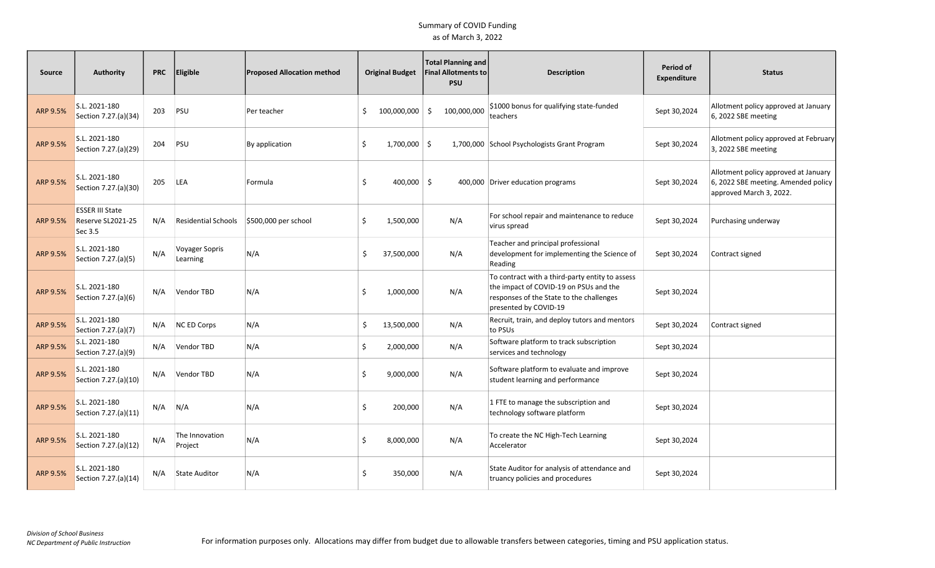| <b>Source</b>   | Authority                                              | <b>PRC</b> | Eligible                          | <b>Proposed Allocation method</b> |     | <b>Original Budget</b> | <b>Total Planning and</b><br><b>Final Allotments to</b><br><b>PSU</b> | <b>Description</b>                                                                                                                                             | Period of<br><b>Expenditure</b> | <b>Status</b>                                                                                          |
|-----------------|--------------------------------------------------------|------------|-----------------------------------|-----------------------------------|-----|------------------------|-----------------------------------------------------------------------|----------------------------------------------------------------------------------------------------------------------------------------------------------------|---------------------------------|--------------------------------------------------------------------------------------------------------|
| ARP 9.5%        | S.L. 2021-180<br>Section 7.27.(a)(34)                  | 203        | PSU                               | Per teacher                       | \$. | $100,000,000$ \$       | 100,000,000                                                           | \$1000 bonus for qualifying state-funded<br>teachers                                                                                                           | Sept 30,2024                    | Allotment policy approved at January<br>6, 2022 SBE meeting                                            |
| ARP 9.5%        | S.L. 2021-180<br>Section 7.27.(a)(29)                  | 204        | PSU                               | By application                    | \$  | $1,700,000$ \$         |                                                                       | 1,700,000 School Psychologists Grant Program                                                                                                                   | Sept 30,2024                    | Allotment policy approved at February<br>3, 2022 SBE meeting                                           |
| ARP 9.5%        | S.L. 2021-180<br>Section 7.27.(a)(30)                  | 205        | LEA                               | Formula                           | \$  | $400,000$ \$           |                                                                       | 400,000 Driver education programs                                                                                                                              | Sept 30,2024                    | Allotment policy approved at January<br>6, 2022 SBE meeting. Amended policy<br>approved March 3, 2022. |
| ARP 9.5%        | <b>ESSER III State</b><br>Reserve SL2021-25<br>Sec 3.5 | N/A        | <b>Residential Schools</b>        | $$500,000$ per school             | \$  | 1,500,000              | N/A                                                                   | For school repair and maintenance to reduce<br>virus spread                                                                                                    | Sept 30,2024                    | Purchasing underway                                                                                    |
| ARP 9.5%        | S.L. 2021-180<br>Section 7.27.(a)(5)                   | N/A        | <b>Voyager Sopris</b><br>Learning | N/A                               | \$  | 37,500,000             | N/A                                                                   | Teacher and principal professional<br>development for implementing the Science of<br>Reading                                                                   | Sept 30,2024                    | Contract signed                                                                                        |
| ARP 9.5%        | S.L. 2021-180<br>Section 7.27.(a)(6)                   | N/A        | Vendor TBD                        | N/A                               | \$  | 1,000,000              | N/A                                                                   | To contract with a third-party entity to assess<br>the impact of COVID-19 on PSUs and the<br>responses of the State to the challenges<br>presented by COVID-19 | Sept 30,2024                    |                                                                                                        |
| ARP 9.5%        | S.L. 2021-180<br>Section 7.27.(a)(7)                   | N/A        | <b>NC ED Corps</b>                | N/A                               | \$  | 13,500,000             | N/A                                                                   | Recruit, train, and deploy tutors and mentors<br>to PSUs                                                                                                       | Sept 30,2024                    | Contract signed                                                                                        |
| ARP 9.5%        | S.L. 2021-180<br>Section 7.27.(a)(9)                   | N/A        | Vendor TBD                        | N/A                               | \$  | 2,000,000              | N/A                                                                   | Software platform to track subscription<br>services and technology                                                                                             | Sept 30,2024                    |                                                                                                        |
| ARP 9.5%        | S.L. 2021-180<br>Section 7.27.(a)(10)                  | N/A        | Vendor TBD                        | N/A                               | \$  | 9,000,000              | N/A                                                                   | Software platform to evaluate and improve<br>student learning and performance                                                                                  | Sept 30,2024                    |                                                                                                        |
| ARP 9.5%        | S.L. 2021-180<br>Section 7.27.(a)(11)                  | N/A        | N/A                               | N/A                               | Ś   | 200,000                | N/A                                                                   | 1 FTE to manage the subscription and<br>technology software platform                                                                                           | Sept 30,2024                    |                                                                                                        |
| ARP 9.5%        | S.L. 2021-180<br>Section 7.27.(a)(12)                  | N/A        | The Innovation<br>Project         | N/A                               | \$  | 8,000,000              | N/A                                                                   | To create the NC High-Tech Learning<br>Accelerator                                                                                                             | Sept 30,2024                    |                                                                                                        |
| <b>ARP 9.5%</b> | S.L. 2021-180<br>Section 7.27.(a)(14)                  | N/A        | <b>State Auditor</b>              | N/A                               | Ś.  | 350,000                | N/A                                                                   | State Auditor for analysis of attendance and<br>truancy policies and procedures                                                                                | Sept 30,2024                    |                                                                                                        |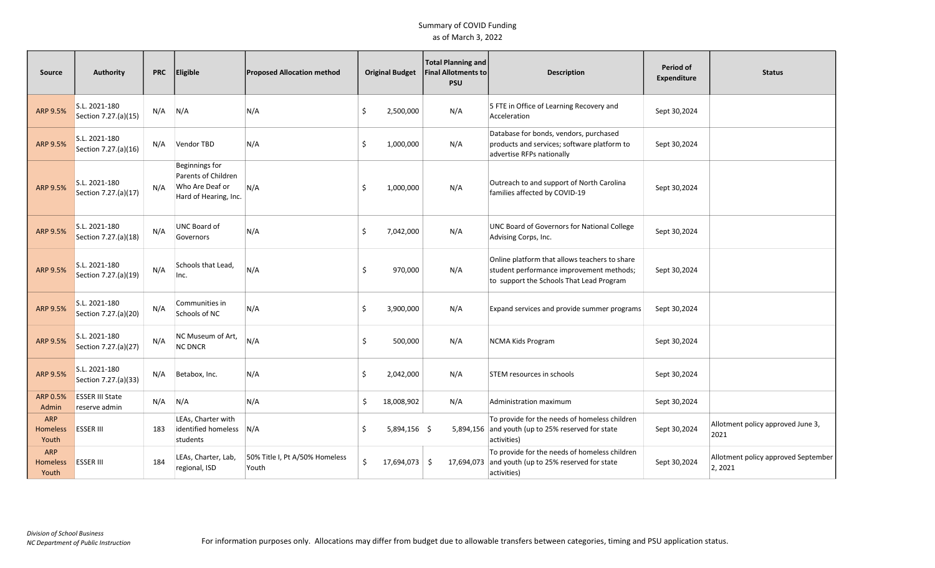| Source                                 | <b>Authority</b>                        | <b>PRC</b> | Eligible                                                                          | <b>Proposed Allocation method</b>       |    | <b>Original Budget</b> | Total Planning and<br><b>Final Allotments to</b><br><b>PSU</b> | <b>Description</b>                                                                                                                    | Period of<br>Expenditure | <b>Status</b>                                  |
|----------------------------------------|-----------------------------------------|------------|-----------------------------------------------------------------------------------|-----------------------------------------|----|------------------------|----------------------------------------------------------------|---------------------------------------------------------------------------------------------------------------------------------------|--------------------------|------------------------------------------------|
| ARP 9.5%                               | S.L. 2021-180<br>Section 7.27.(a)(15)   | N/A        | N/A                                                                               | N/A                                     | Ś. | 2,500,000              | N/A                                                            | 5 FTE in Office of Learning Recovery and<br>Acceleration                                                                              | Sept 30,2024             |                                                |
| ARP 9.5%                               | S.L. 2021-180<br>Section 7.27.(a)(16)   | N/A        | Vendor TBD                                                                        | N/A                                     | Ś. | 1,000,000              | N/A                                                            | Database for bonds, vendors, purchased<br>products and services; software platform to<br>advertise RFPs nationally                    | Sept 30,2024             |                                                |
| ARP 9.5%                               | S.L. 2021-180<br>Section 7.27.(a)(17)   | N/A        | Beginnings for<br>Parents of Children<br>Who Are Deaf or<br>Hard of Hearing, Inc. | N/A                                     | Ŝ. | 1,000,000              | N/A                                                            | Outreach to and support of North Carolina<br>families affected by COVID-19                                                            | Sept 30,2024             |                                                |
| ARP 9.5%                               | S.L. 2021-180<br>Section 7.27.(a)(18)   | N/A        | UNC Board of<br>Governors                                                         | N/A                                     | \$ | 7,042,000              | N/A                                                            | UNC Board of Governors for National College<br>Advising Corps, Inc.                                                                   | Sept 30,2024             |                                                |
| ARP 9.5%                               | S.L. 2021-180<br>Section 7.27.(a)(19)   | N/A        | Schools that Lead,<br>Inc.                                                        | N/A                                     | Ŝ. | 970,000                | N/A                                                            | Online platform that allows teachers to share<br>student performance improvement methods;<br>to support the Schools That Lead Program | Sept 30,2024             |                                                |
| ARP 9.5%                               | S.L. 2021-180<br>Section 7.27.(a)(20)   | N/A        | Communities in<br>Schools of NC                                                   | N/A                                     | Ś. | 3,900,000              | N/A                                                            | Expand services and provide summer programs                                                                                           | Sept 30,2024             |                                                |
| ARP 9.5%                               | S.L. 2021-180<br>Section 7.27.(a)(27)   | N/A        | NC Museum of Art,<br><b>NC DNCR</b>                                               | N/A                                     | Ŝ. | 500,000                | N/A                                                            | <b>NCMA Kids Program</b>                                                                                                              | Sept 30,2024             |                                                |
| ARP 9.5%                               | S.L. 2021-180<br>Section 7.27.(a)(33)   | N/A        | Betabox, Inc.                                                                     | N/A                                     | Ŝ. | 2,042,000              | N/A                                                            | STEM resources in schools                                                                                                             | Sept 30,2024             |                                                |
| ARP 0.5%<br>Admin                      | <b>ESSER III State</b><br>reserve admin | N/A        | N/A                                                                               | N/A                                     | \$ | 18,008,902             | N/A                                                            | Administration maximum                                                                                                                | Sept 30,2024             |                                                |
| <b>ARP</b><br><b>Homeless</b><br>Youth | <b>ESSER III</b>                        | 183        | LEAs, Charter with<br>identified homeless N/A<br>students                         |                                         | Ŝ. | 5,894,156 \$           |                                                                | To provide for the needs of homeless children<br>5,894,156 and youth (up to 25% reserved for state<br>activities)                     | Sept 30,2024             | Allotment policy approved June 3,<br>2021      |
| <b>ARP</b><br><b>Homeless</b><br>Youth | <b>ESSER III</b>                        | 184        | LEAs, Charter, Lab,<br>regional, ISD                                              | 50% Title I, Pt A/50% Homeless<br>Youth | \$ | 17,694,073             | -\$<br>17,694,073                                              | To provide for the needs of homeless children<br>and youth (up to 25% reserved for state<br>activities)                               | Sept 30,2024             | Allotment policy approved September<br>2, 2021 |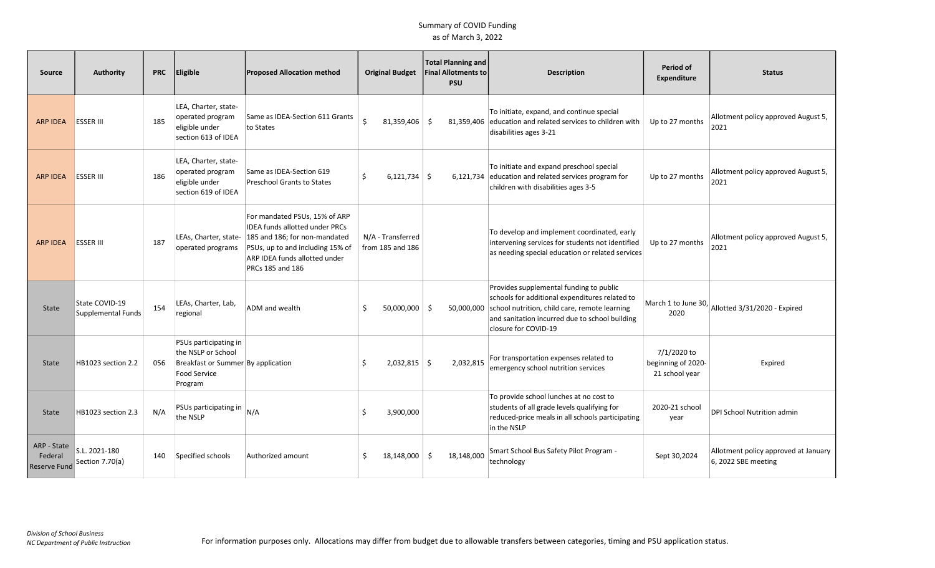| Source                                        | <b>Authority</b>                            | <b>PRC</b> | Eligible                                                                                                     | <b>Proposed Allocation method</b>                                                                                                                                                                                      | <b>Original Budget</b>                | <b>Total Planning and</b><br>Final Allotments to<br><b>PSU</b> | <b>Description</b>                                                                                                                                                                                                   | Period of<br><b>Expenditure</b>                     | <b>Status</b>                                               |
|-----------------------------------------------|---------------------------------------------|------------|--------------------------------------------------------------------------------------------------------------|------------------------------------------------------------------------------------------------------------------------------------------------------------------------------------------------------------------------|---------------------------------------|----------------------------------------------------------------|----------------------------------------------------------------------------------------------------------------------------------------------------------------------------------------------------------------------|-----------------------------------------------------|-------------------------------------------------------------|
| <b>ARP IDEA</b>                               | <b>ESSER III</b>                            | 185        | LEA, Charter, state-<br>operated program<br>eligible under<br>section 613 of IDEA                            | Same as IDEA-Section 611 Grants<br>to States                                                                                                                                                                           | \$<br>$81,359,406$ \$                 | 81,359,406                                                     | To initiate, expand, and continue special<br>education and related services to children with<br>disabilities ages 3-21                                                                                               | Up to 27 months                                     | Allotment policy approved August 5,<br>2021                 |
| <b>ARP IDEA</b>                               | <b>ESSER III</b>                            | 186        | LEA, Charter, state-<br>operated program<br>eligible under<br>section 619 of IDEA                            | Same as IDEA-Section 619<br><b>Preschool Grants to States</b>                                                                                                                                                          | $6,121,734$ \$<br>Ś.                  | 6,121,734                                                      | To initiate and expand preschool special<br>education and related services program for<br>children with disabilities ages 3-5                                                                                        | Up to 27 months                                     | Allotment policy approved August 5,<br>2021                 |
| <b>ARP IDEA</b>                               | <b>ESSER III</b>                            | 187        | operated programs                                                                                            | For mandated PSUs, 15% of ARP<br><b>IDEA funds allotted under PRCs</b><br>LEAs, Charter, state- 185 and 186; for non-mandated<br>PSUs, up to and including 15% of<br>ARP IDEA funds allotted under<br>PRCs 185 and 186 | N/A - Transferred<br>from 185 and 186 |                                                                | To develop and implement coordinated, early<br>intervening services for students not identified<br>as needing special education or related services                                                                  | Up to 27 months                                     | Allotment policy approved August 5,<br>2021                 |
| State                                         | State COVID-19<br><b>Supplemental Funds</b> | 154        | LEAs, Charter, Lab,<br>regional                                                                              | ADM and wealth                                                                                                                                                                                                         | 50,000,000<br><sup>\$</sup>           | -\$<br>50,000,000                                              | Provides supplemental funding to public<br>schools for additional expenditures related to<br>school nutrition, child care, remote learning<br>and sanitation incurred due to school building<br>closure for COVID-19 | 2020                                                | March 1 to June 30, $\vert$ Allotted 3/31/2020 - Expired    |
| State                                         | HB1023 section 2.2                          | 056        | PSUs participating in<br>the NSLP or School<br>Breakfast or Summer By application<br>Food Service<br>Program |                                                                                                                                                                                                                        | $2,032,815$ \$<br>Ŝ.                  | 2,032,815                                                      | For transportation expenses related to<br>emergency school nutrition services                                                                                                                                        | 7/1/2020 to<br>beginning of 2020-<br>21 school year | Expired                                                     |
| State                                         | HB1023 section 2.3                          | N/A        | PSUs participating in<br>the NSLP                                                                            | N/A                                                                                                                                                                                                                    | 3,900,000<br>Ŝ.                       |                                                                | To provide school lunches at no cost to<br>students of all grade levels qualifying for<br>reduced-price meals in all schools participating<br>in the NSLP                                                            | 2020-21 school<br>year                              | DPI School Nutrition admin                                  |
| ARP - State<br>Federal<br><b>Reserve Fund</b> | S.L. 2021-180<br>Section 7.70(a)            | 140        | Specified schools                                                                                            | Authorized amount                                                                                                                                                                                                      | $18,148,000$ \$                       | 18,148,000                                                     | Smart School Bus Safety Pilot Program -<br>technology                                                                                                                                                                | Sept 30,2024                                        | Allotment policy approved at January<br>6, 2022 SBE meeting |